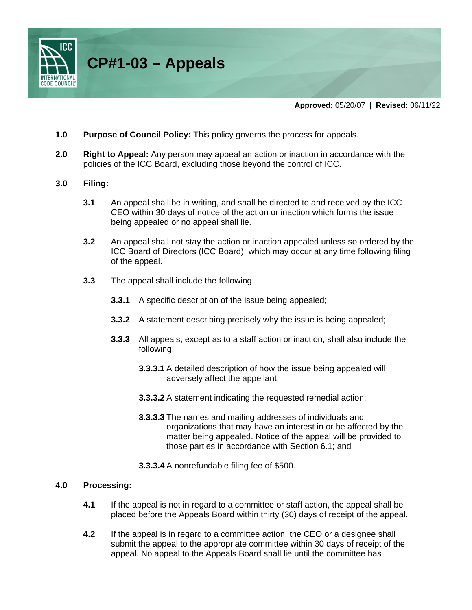

- **1.0 Purpose of Council Policy:** This policy governs the process for appeals.
- **2.0 Right to Appeal:** Any person may appeal an action or inaction in accordance with the policies of the ICC Board, excluding those beyond the control of ICC.

### **3.0 Filing:**

- **3.1** An appeal shall be in writing, and shall be directed to and received by the ICC CEO within 30 days of notice of the action or inaction which forms the issue being appealed or no appeal shall lie.
- **3.2** An appeal shall not stay the action or inaction appealed unless so ordered by the ICC Board of Directors (ICC Board), which may occur at any time following filing of the appeal.
- **3.3** The appeal shall include the following:
	- **3.3.1** A specific description of the issue being appealed;
	- **3.3.2** A statement describing precisely why the issue is being appealed;
	- **3.3.3** All appeals, except as to a staff action or inaction, shall also include the following:
		- **3.3.3.1** A detailed description of how the issue being appealed will adversely affect the appellant.
		- **3.3.3.2** A statement indicating the requested remedial action;
		- **3.3.3.3** The names and mailing addresses of individuals and organizations that may have an interest in or be affected by the matter being appealed. Notice of the appeal will be provided to those parties in accordance with Section 6.1; and
		- **3.3.3.4** A nonrefundable filing fee of \$500.

### **4.0 Processing:**

- **4.1** If the appeal is not in regard to a committee or staff action, the appeal shall be placed before the Appeals Board within thirty (30) days of receipt of the appeal.
- **4.2** If the appeal is in regard to a committee action, the CEO or a designee shall submit the appeal to the appropriate committee within 30 days of receipt of the appeal. No appeal to the Appeals Board shall lie until the committee has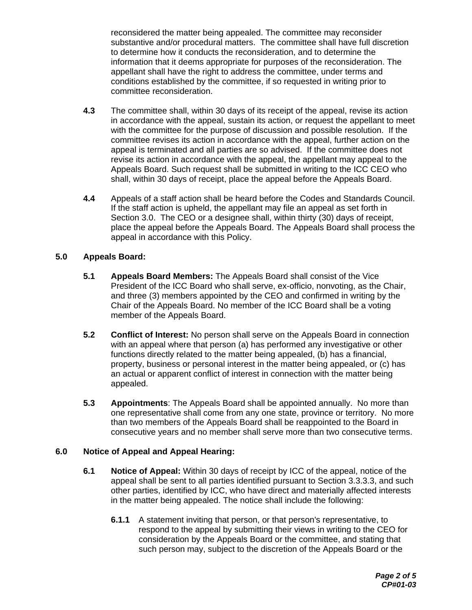reconsidered the matter being appealed. The committee may reconsider substantive and/or procedural matters. The committee shall have full discretion to determine how it conducts the reconsideration, and to determine the information that it deems appropriate for purposes of the reconsideration. The appellant shall have the right to address the committee, under terms and conditions established by the committee, if so requested in writing prior to committee reconsideration.

- **4.3** The committee shall, within 30 days of its receipt of the appeal, revise its action in accordance with the appeal, sustain its action, or request the appellant to meet with the committee for the purpose of discussion and possible resolution. If the committee revises its action in accordance with the appeal, further action on the appeal is terminated and all parties are so advised. If the committee does not revise its action in accordance with the appeal, the appellant may appeal to the Appeals Board. Such request shall be submitted in writing to the ICC CEO who shall, within 30 days of receipt, place the appeal before the Appeals Board.
- **4.4** Appeals of a staff action shall be heard before the Codes and Standards Council. If the staff action is upheld, the appellant may file an appeal as set forth in Section 3.0. The CEO or a designee shall, within thirty (30) days of receipt, place the appeal before the Appeals Board. The Appeals Board shall process the appeal in accordance with this Policy.

# **5.0 Appeals Board:**

- **5.1 Appeals Board Members:** The Appeals Board shall consist of the Vice President of the ICC Board who shall serve, ex-officio, nonvoting, as the Chair, and three (3) members appointed by the CEO and confirmed in writing by the Chair of the Appeals Board. No member of the ICC Board shall be a voting member of the Appeals Board.
- **5.2 Conflict of Interest:** No person shall serve on the Appeals Board in connection with an appeal where that person (a) has performed any investigative or other functions directly related to the matter being appealed, (b) has a financial, property, business or personal interest in the matter being appealed, or (c) has an actual or apparent conflict of interest in connection with the matter being appealed.
- **5.3 Appointments**: The Appeals Board shall be appointed annually. No more than one representative shall come from any one state, province or territory. No more than two members of the Appeals Board shall be reappointed to the Board in consecutive years and no member shall serve more than two consecutive terms.

# **6.0 Notice of Appeal and Appeal Hearing:**

- **6.1 Notice of Appeal:** Within 30 days of receipt by ICC of the appeal, notice of the appeal shall be sent to all parties identified pursuant to Section 3.3.3.3, and such other parties, identified by ICC, who have direct and materially affected interests in the matter being appealed. The notice shall include the following:
	- **6.1.1** A statement inviting that person, or that person's representative, to respond to the appeal by submitting their views in writing to the CEO for consideration by the Appeals Board or the committee, and stating that such person may, subject to the discretion of the Appeals Board or the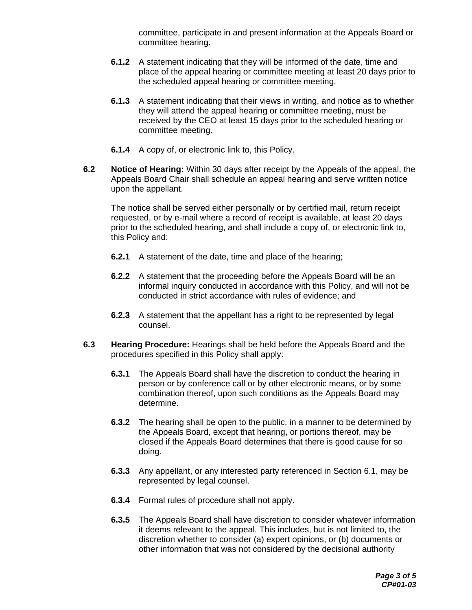committee, participate in and present information at the Appeals Board or committee hearing.

- **6.1.2** A statement indicating that they will be informed of the date, time and place of the appeal hearing or committee meeting at least 20 days prior to the scheduled appeal hearing or committee meeting.
- **6.1.3** A statement indicating that their views in writing, and notice as to whether they will attend the appeal hearing or committee meeting, must be received by the CEO at least 15 days prior to the scheduled hearing or committee meeting.
- **6.1.4** A copy of, or electronic link to, this Policy.
- **6.2 Notice of Hearing:** Within 30 days after receipt by the Appeals of the appeal, the Appeals Board Chair shall schedule an appeal hearing and serve written notice upon the appellant.

The notice shall be served either personally or by certified mail, return receipt requested, or by e-mail where a record of receipt is available, at least 20 days prior to the scheduled hearing, and shall include a copy of, or electronic link to, this Policy and:

- **6.2.1** A statement of the date, time and place of the hearing;
- **6.2.2** A statement that the proceeding before the Appeals Board will be an informal inquiry conducted in accordance with this Policy, and will not be conducted in strict accordance with rules of evidence; and
- **6.2.3** A statement that the appellant has a right to be represented by legal counsel.
- **6.3 Hearing Procedure:** Hearings shall be held before the Appeals Board and the procedures specified in this Policy shall apply:
	- **6.3.1** The Appeals Board shall have the discretion to conduct the hearing in person or by conference call or by other electronic means, or by some combination thereof, upon such conditions as the Appeals Board may determine.
	- **6.3.2** The hearing shall be open to the public, in a manner to be determined by the Appeals Board, except that hearing, or portions thereof, may be closed if the Appeals Board determines that there is good cause for so doing.
	- **6.3.3** Any appellant, or any interested party referenced in Section 6.1, may be represented by legal counsel.
	- **6.3.4** Formal rules of procedure shall not apply.
	- **6.3.5** The Appeals Board shall have discretion to consider whatever information it deems relevant to the appeal. This includes, but is not limited to, the discretion whether to consider (a) expert opinions, or (b) documents or other information that was not considered by the decisional authority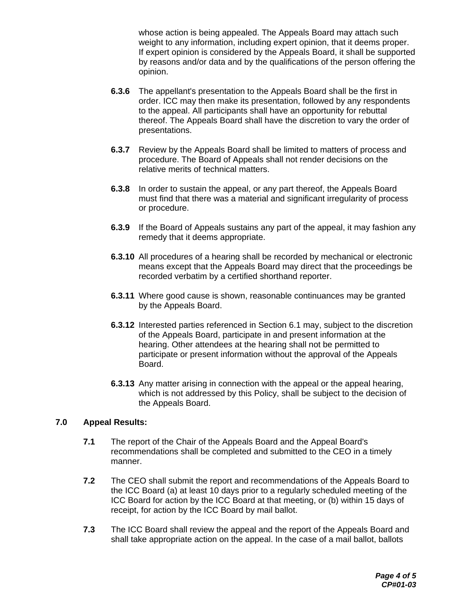whose action is being appealed. The Appeals Board may attach such weight to any information, including expert opinion, that it deems proper. If expert opinion is considered by the Appeals Board, it shall be supported by reasons and/or data and by the qualifications of the person offering the opinion.

- **6.3.6** The appellant's presentation to the Appeals Board shall be the first in order. ICC may then make its presentation, followed by any respondents to the appeal. All participants shall have an opportunity for rebuttal thereof. The Appeals Board shall have the discretion to vary the order of presentations.
- **6.3.7** Review by the Appeals Board shall be limited to matters of process and procedure. The Board of Appeals shall not render decisions on the relative merits of technical matters.
- **6.3.8** In order to sustain the appeal, or any part thereof, the Appeals Board must find that there was a material and significant irregularity of process or procedure.
- **6.3.9** If the Board of Appeals sustains any part of the appeal, it may fashion any remedy that it deems appropriate.
- **6.3.10** All procedures of a hearing shall be recorded by mechanical or electronic means except that the Appeals Board may direct that the proceedings be recorded verbatim by a certified shorthand reporter.
- **6.3.11** Where good cause is shown, reasonable continuances may be granted by the Appeals Board.
- **6.3.12** Interested parties referenced in Section 6.1 may, subject to the discretion of the Appeals Board, participate in and present information at the hearing. Other attendees at the hearing shall not be permitted to participate or present information without the approval of the Appeals Board.
- **6.3.13** Any matter arising in connection with the appeal or the appeal hearing, which is not addressed by this Policy, shall be subject to the decision of the Appeals Board.

# **7.0 Appeal Results:**

- **7.1** The report of the Chair of the Appeals Board and the Appeal Board's recommendations shall be completed and submitted to the CEO in a timely manner.
- **7.2** The CEO shall submit the report and recommendations of the Appeals Board to the ICC Board (a) at least 10 days prior to a regularly scheduled meeting of the ICC Board for action by the ICC Board at that meeting, or (b) within 15 days of receipt, for action by the ICC Board by mail ballot.
- **7.3** The ICC Board shall review the appeal and the report of the Appeals Board and shall take appropriate action on the appeal. In the case of a mail ballot, ballots